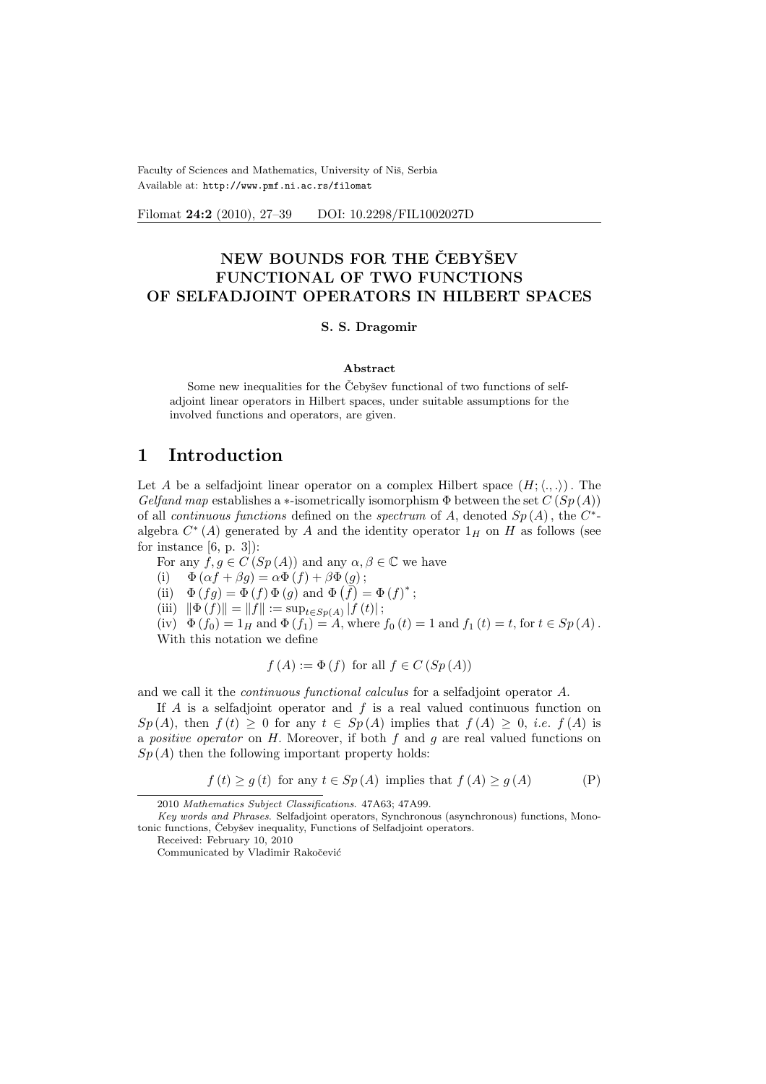Faculty of Sciences and Mathematics, University of Niš, Serbia Available at: http://www.pmf.ni.ac.rs/filomat

Filomat 24:2 (2010), 27–39 DOI: 10.2298/FIL1002027D

# NEW BOUNDS FOR THE CEBYSEV FUNCTIONAL OF TWO FUNCTIONS OF SELFADJOINT OPERATORS IN HILBERT SPACES

#### S. S. Dragomir

#### Abstract

Some new inequalities for the Čebyšev functional of two functions of selfadjoint linear operators in Hilbert spaces, under suitable assumptions for the involved functions and operators, are given.

## 1 Introduction

Let A be a selfadjoint linear operator on a complex Hilbert space  $(H; \langle ., . \rangle)$ . The Gelfand map establishes a ∗-isometrically isomorphism  $\Phi$  between the set  $C(Sp(A))$ of all continuous functions defined on the spectrum of A, denoted  $Sp(A)$ , the  $C^*$ algebra  $C^*(A)$  generated by A and the identity operator  $1_H$  on H as follows (see for instance  $[6, p. 3]$ :

For any  $f, g \in C(Sp(A))$  and any  $\alpha, \beta \in \mathbb{C}$  we have

(i)  $\Phi(\alpha f + \beta g) = \alpha \Phi(f) + \beta \Phi(g);$ 

(i)  $\Phi(\alpha f + \beta g) = \alpha \Phi(f) + \beta \Phi(g)$ ;<br>
(ii)  $\Phi(fg) = \Phi(f) \Phi(g)$  and  $\Phi(f) = \Phi(f)^*$ ;

(iii)  $\|\Phi(f)\| = \|f\| := \sup_{t \in Sp(A)} |f(t)|;$ 

(iv)  $\Phi(f_0) = 1_H$  and  $\Phi(f_1) = A$ , where  $f_0(t) = 1$  and  $f_1(t) = t$ , for  $t \in Sp(A)$ . With this notation we define

$$
f(A) := \Phi(f)
$$
 for all  $f \in C(Sp(A))$ 

and we call it the continuous functional calculus for a selfadjoint operator A.

If  $A$  is a selfadjoint operator and  $f$  is a real valued continuous function on  $Sp(A)$ , then  $f(t) \geq 0$  for any  $t \in Sp(A)$  implies that  $f(A) \geq 0$ , *i.e.*  $f(A)$  is a *positive operator* on  $H$ . Moreover, if both  $f$  and  $g$  are real valued functions on  $Sp(A)$  then the following important property holds:

$$
f(t) \ge g(t)
$$
 for any  $t \in Sp(A)$  implies that  $f(A) \ge g(A)$  (P)

<sup>2010</sup> Mathematics Subject Classifications. 47A63; 47A99.

Key words and Phrases. Selfadjoint operators, Synchronous (asynchronous) functions, Monotonic functions, Čebyšev inequality, Functions of Selfadjoint operators.

Received: February 10, 2010

Communicated by Vladimir Rakočević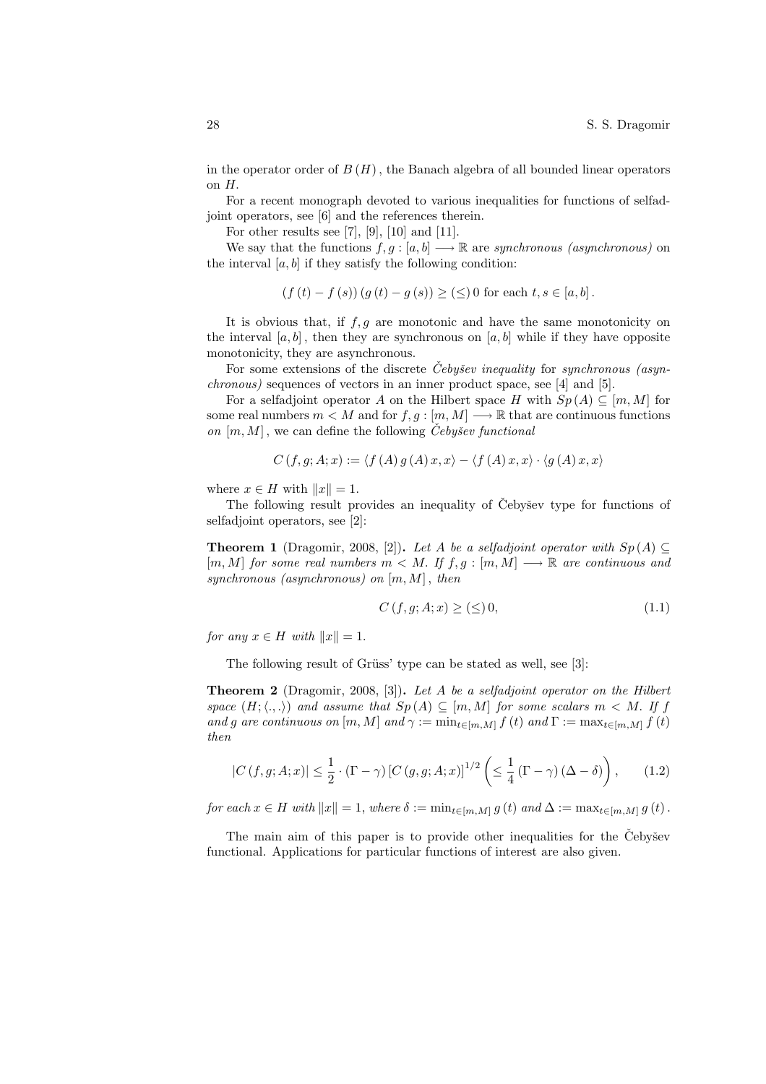in the operator order of  $B(H)$ , the Banach algebra of all bounded linear operators on H.

For a recent monograph devoted to various inequalities for functions of selfadjoint operators, see [6] and the references therein.

For other results see [7], [9], [10] and [11].

We say that the functions  $f, g : [a, b] \longrightarrow \mathbb{R}$  are synchronous (asynchronous) on the interval  $[a, b]$  if they satisfy the following condition:

$$
(f(t) - f(s)) (g(t) - g(s)) \ge (\le) 0
$$
 for each  $t, s \in [a, b]$ .

It is obvious that, if  $f, g$  are monotonic and have the same monotonicity on the interval  $[a, b]$ , then they are synchronous on  $[a, b]$  while if they have opposite monotonicity, they are asynchronous.

For some extensions of the discrete Cebysev inequality for synchronous (asynchronous) sequences of vectors in an inner product space, see [4] and [5].

For a selfadjoint operator A on the Hilbert space H with  $Sp(A) \subseteq [m, M]$  for some real numbers  $m < M$  and for  $f, g : [m, M] \longrightarrow \mathbb{R}$  that are continuous functions on  $[m, M]$ , we can define the following *Čebyšev functional* 

$$
C(f, g; A; x) := \langle f(A) g(A) x, x \rangle - \langle f(A) x, x \rangle \cdot \langle g(A) x, x \rangle
$$

where  $x \in H$  with  $||x|| = 1$ .

The following result provides an inequality of Čebyšev type for functions of selfadjoint operators, see [2]:

**Theorem 1** (Dragomir, 2008, [2]). Let A be a selfadjoint operator with  $Sp(A) \subseteq$  $[m, M]$  for some real numbers  $m < M$ . If  $f, g : [m, M] \longrightarrow \mathbb{R}$  are continuous and synchronous (asynchronous) on  $[m, M]$ , then

$$
C(f, g; A; x) \ge (\le) 0,\tag{1.1}
$$

for any  $x \in H$  with  $||x|| = 1$ .

The following result of Grüss' type can be stated as well, see [3]:

**Theorem 2** (Dragomir, 2008, [3]). Let A be a selfadjoint operator on the Hilbert space  $(H; \langle.,.\rangle)$  and assume that  $Sp(A) \subseteq [m, M]$  for some scalars  $m < M$ . If f and g are continuous on  $[m, M]$  and  $\gamma := \min_{t \in [m, M]} f(t)$  and  $\Gamma := \max_{t \in [m, M]} f(t)$ then

$$
|C(f,g;A;x)| \leq \frac{1}{2} \cdot (\Gamma - \gamma) \left[ C(g,g;A;x) \right]^{1/2} \left( \leq \frac{1}{4} (\Gamma - \gamma) \left( \Delta - \delta \right) \right), \tag{1.2}
$$

for each  $x \in H$  with  $||x|| = 1$ , where  $\delta := \min_{t \in [m,M]} g(t)$  and  $\Delta := \max_{t \in [m,M]} g(t)$ .

The main aim of this paper is to provide other inequalities for the Cebysev functional. Applications for particular functions of interest are also given.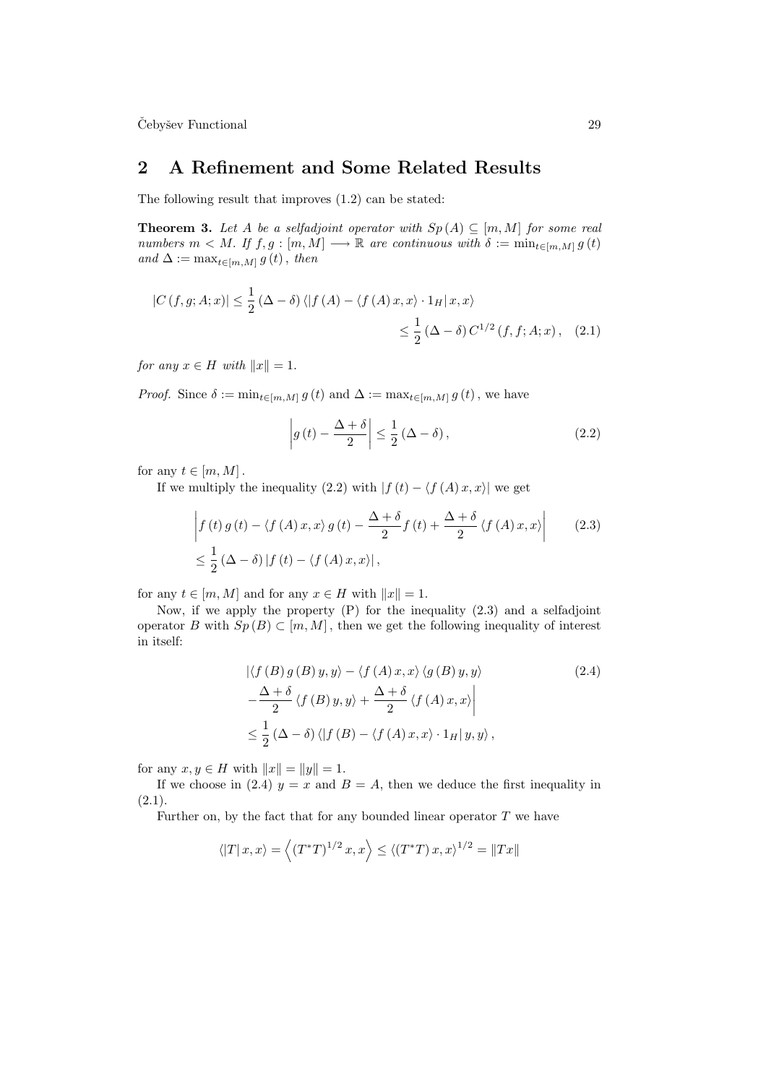$\check{\mathrm{C}}$ ebyšev Functional  $29$ 

## 2 A Refinement and Some Related Results

The following result that improves (1.2) can be stated:

**Theorem 3.** Let A be a selfadjoint operator with  $Sp(A) \subseteq [m, M]$  for some real numbers  $m < M$ . If  $f, g : [m, M] \longrightarrow \mathbb{R}$  are continuous with  $\delta := \min_{t \in [m, M]} g(t)$ and  $\Delta := \max_{t \in [m, M]} g(t)$ , then

$$
|C(f,g;A;x)| \leq \frac{1}{2} (\Delta - \delta) \langle |f(A) - \langle f(A)x, x \rangle \cdot 1_H | x, x \rangle
$$
  

$$
\leq \frac{1}{2} (\Delta - \delta) C^{1/2} (f, f; A; x), \quad (2.1)
$$

for any  $x \in H$  with  $||x|| = 1$ .

*Proof.* Since  $\delta := \min_{t \in [m,M]} g(t)$  and  $\Delta := \max_{t \in [m,M]} g(t)$ , we have

$$
\left| g\left(t\right)-\frac{\Delta+\delta}{2}\right| \leq \frac{1}{2}\left(\Delta-\delta\right),\tag{2.2}
$$

for any  $t \in [m, M]$ .

If we multiply the inequality (2.2) with  $|f(t) - \langle f(A) x, x \rangle|$  we get

$$
\begin{aligned}\n\left| f(t) \, g(t) - \langle f(A) \, x, x \rangle \, g(t) - \frac{\Delta + \delta}{2} f(t) + \frac{\Delta + \delta}{2} \langle f(A) \, x, x \rangle \right| & (2.3) \\
& \leq \frac{1}{2} \left( \Delta - \delta \right) | f(t) - \langle f(A) \, x, x \rangle | \,,\n\end{aligned}
$$

for any  $t \in [m, M]$  and for any  $x \in H$  with  $||x|| = 1$ .

Now, if we apply the property (P) for the inequality (2.3) and a selfadjoint operator B with  $Sp(B) \subset [m, M]$ , then we get the following inequality of interest in itself:

$$
\left| \langle f(B) g(B) y, y \rangle - \langle f(A) x, x \rangle \langle g(B) y, y \rangle \right|
$$
\n
$$
-\frac{\Delta + \delta}{2} \langle f(B) y, y \rangle + \frac{\Delta + \delta}{2} \langle f(A) x, x \rangle \Big|
$$
\n
$$
\leq \frac{1}{2} (\Delta - \delta) \langle |f(B) - \langle f(A) x, x \rangle \cdot 1_H | y, y \rangle \rangle,
$$
\n(2.4)

for any  $x, y \in H$  with  $||x|| = ||y|| = 1$ .

If we choose in (2.4)  $y = x$  and  $B = A$ , then we deduce the first inequality in  $(2.1).$ 

Further on, by the fact that for any bounded linear operator  $T$  we have

$$
\left\langle \left|T\right|x,x\right\rangle =\left\langle \left(T^{\ast }T\right)^{1/2}x,x\right\rangle \leq\left\langle \left(T^{\ast }T\right)x,x\right\rangle ^{1/2}=\left\Vert Tx\right\Vert
$$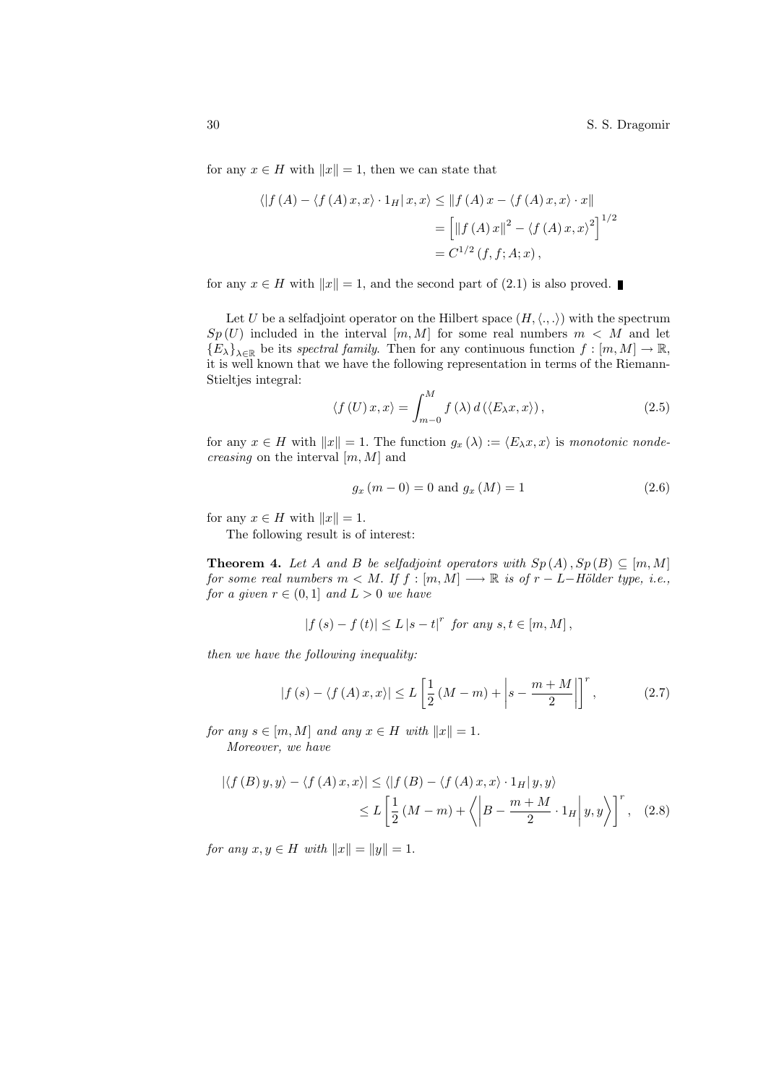for any  $x \in H$  with  $||x|| = 1$ , then we can state that

$$
\langle |f(A) - \langle f(A) x, x \rangle \cdot 1_H | x, x \rangle \le ||f(A) x - \langle f(A) x, x \rangle \cdot x||
$$
  
= 
$$
\left[ ||f(A) x||^2 - \langle f(A) x, x \rangle^2 \right]^{1/2}
$$
  
= 
$$
C^{1/2}(f, f; A; x),
$$

for any  $x \in H$  with  $||x|| = 1$ , and the second part of (2.1) is also proved.

Let U be a selfadjoint operator on the Hilbert space  $(H, \langle ., . \rangle)$  with the spectrum  $Sp(U)$  included in the interval  $[m, M]$  for some real numbers  $m < M$  and let  ${E_\lambda}_{\lambda \in \mathbb{R}}$  be its spectral family. Then for any continuous function  $f : [m, M] \to \mathbb{R}$ , it is well known that we have the following representation in terms of the Riemann-Stieltjes integral:

$$
\langle f(U)x, x \rangle = \int_{m-0}^{M} f(\lambda) d(\langle E_{\lambda} x, x \rangle), \qquad (2.5)
$$

for any  $x \in H$  with  $||x|| = 1$ . The function  $g_x(\lambda) := \langle E_\lambda x, x \rangle$  is monotonic nonde*creasing* on the interval  $[m, M]$  and

$$
g_x (m - 0) = 0 \text{ and } g_x (M) = 1 \tag{2.6}
$$

for any  $x \in H$  with  $||x|| = 1$ .

The following result is of interest:

**Theorem 4.** Let A and B be selfadjoint operators with  $Sp(A), Sp(B) \subseteq [m, M]$ for some real numbers  $m < M$ . If  $f : [m, M] \longrightarrow \mathbb{R}$  is of  $r - L-H"older type, i.e.,$ for a given  $r \in (0,1]$  and  $L > 0$  we have

$$
|f(s) - f(t)| \le L |s - t|^{r} \text{ for any } s, t \in [m, M],
$$

then we have the following inequality:

$$
|f(s) - \langle f(A)x, x \rangle| \le L \left[\frac{1}{2}(M-m) + \left| s - \frac{m+M}{2} \right|\right]^r, \tag{2.7}
$$

for any  $s \in [m, M]$  and any  $x \in H$  with  $||x|| = 1$ .

Moreover, we have

$$
|\langle f(B) y, y \rangle - \langle f(A) x, x \rangle| \le \langle |f(B) - \langle f(A) x, x \rangle \cdot 1_H | y, y \rangle
$$
  

$$
\le L \left[ \frac{1}{2} (M - m) + \langle |B - \frac{m + M}{2} \cdot 1_H | y, y \rangle \right]^r, \quad (2.8)
$$

*for any*  $x, y \in H$  *with*  $||x|| = ||y|| = 1$ .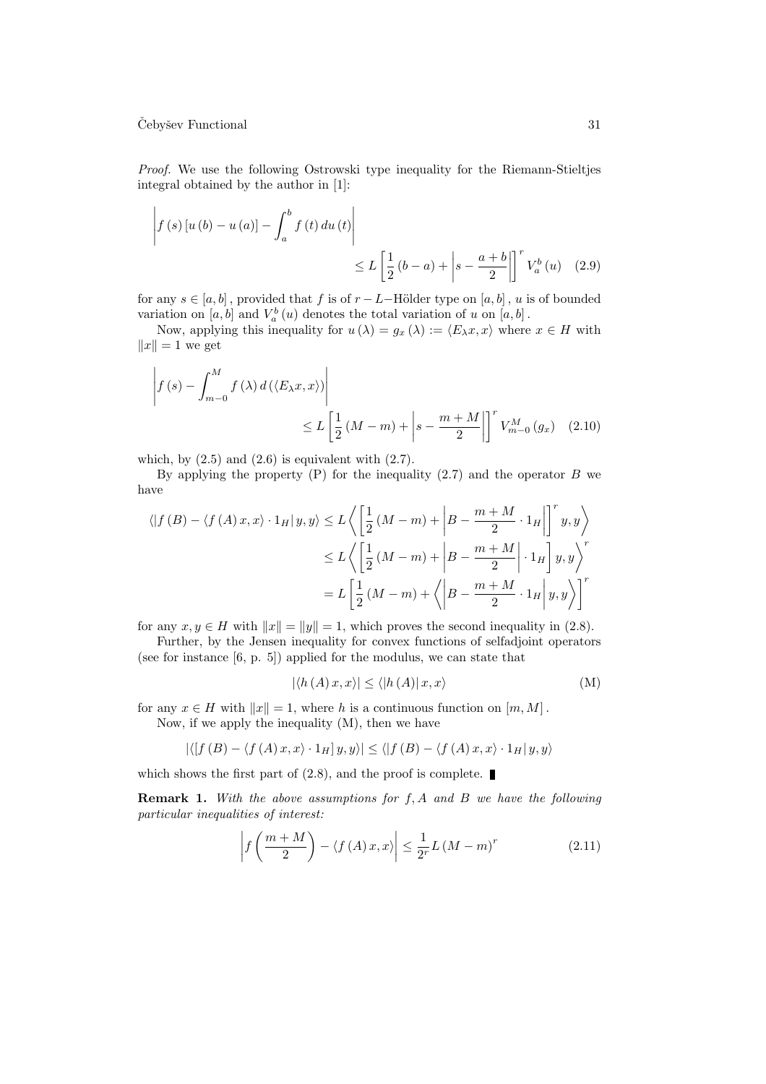Proof. We use the following Ostrowski type inequality for the Riemann-Stieltjes integral obtained by the author in [1]:

$$
\left| f(s) \left[ u(b) - u(a) \right] - \int_{a}^{b} f(t) \, du(t) \right|
$$
  

$$
\leq L \left[ \frac{1}{2} (b - a) + \left| s - \frac{a + b}{2} \right| \right]^{r} V_{a}^{b}(u) \quad (2.9)
$$

for any  $s \in [a, b]$ , provided that f is of  $r - L$ −Hölder type on [a, b], u is of bounded variation on  $[a, b]$  and  $V_a^b(u)$  denotes the total variation of u on  $[a, b]$ .

Now, applying this inequality for  $u(\lambda) = g_x(\lambda) := \langle E_\lambda x, x \rangle$  where  $x \in H$  with  $||x|| = 1$  we get

$$
\left| f(s) - \int_{m-0}^{M} f(\lambda) d(\langle E_{\lambda} x, x \rangle) \right|
$$
  
 
$$
\leq L \left[ \frac{1}{2} (M-m) + \left| s - \frac{m+M}{2} \right| \right]^{r} V_{m-0}^{M}(g_{x}) \quad (2.10)
$$

which, by  $(2.5)$  and  $(2.6)$  is equivalent with  $(2.7)$ .

By applying the property  $(P)$  for the inequality  $(2.7)$  and the operator B we have

$$
\langle |f(B) - \langle f(A)x, x \rangle \cdot 1_H | y, y \rangle \le L \left\langle \left[ \frac{1}{2} (M-m) + \left| B - \frac{m+M}{2} \cdot 1_H \right| \right]^r y, y \right\rangle
$$
  

$$
\le L \left\langle \left[ \frac{1}{2} (M-m) + \left| B - \frac{m+M}{2} \right| \cdot 1_H \right] y, y \right\rangle^r
$$
  

$$
= L \left[ \frac{1}{2} (M-m) + \left\langle \left| B - \frac{m+M}{2} \cdot 1_H \right| y, y \right\rangle \right]^r
$$

for any  $x, y \in H$  with  $||x|| = ||y|| = 1$ , which proves the second inequality in (2.8).

Further, by the Jensen inequality for convex functions of selfadjoint operators (see for instance [6, p. 5]) applied for the modulus, we can state that

$$
|\langle h(A)x, x \rangle| \le \langle |h(A)|x, x \rangle \tag{M}
$$

for any  $x \in H$  with  $||x|| = 1$ , where h is a continuous function on  $[m, M]$ . Now, if we apply the inequality (M), then we have

$$
|\langle [f(B) - \langle f(A)x, x \rangle \cdot 1_H] y, y \rangle| \le \langle [f(B) - \langle f(A)x, x \rangle \cdot 1_H| y, y \rangle
$$

which shows the first part of  $(2.8)$ , and the proof is complete.

**Remark 1.** With the above assumptions for  $f$ ,  $A$  and  $B$  we have the following particular inequalities of interest:

$$
\left| f\left(\frac{m+M}{2}\right) - \langle f(A)x, x \rangle \right| \leq \frac{1}{2^r} L \left(M - m\right)^r \tag{2.11}
$$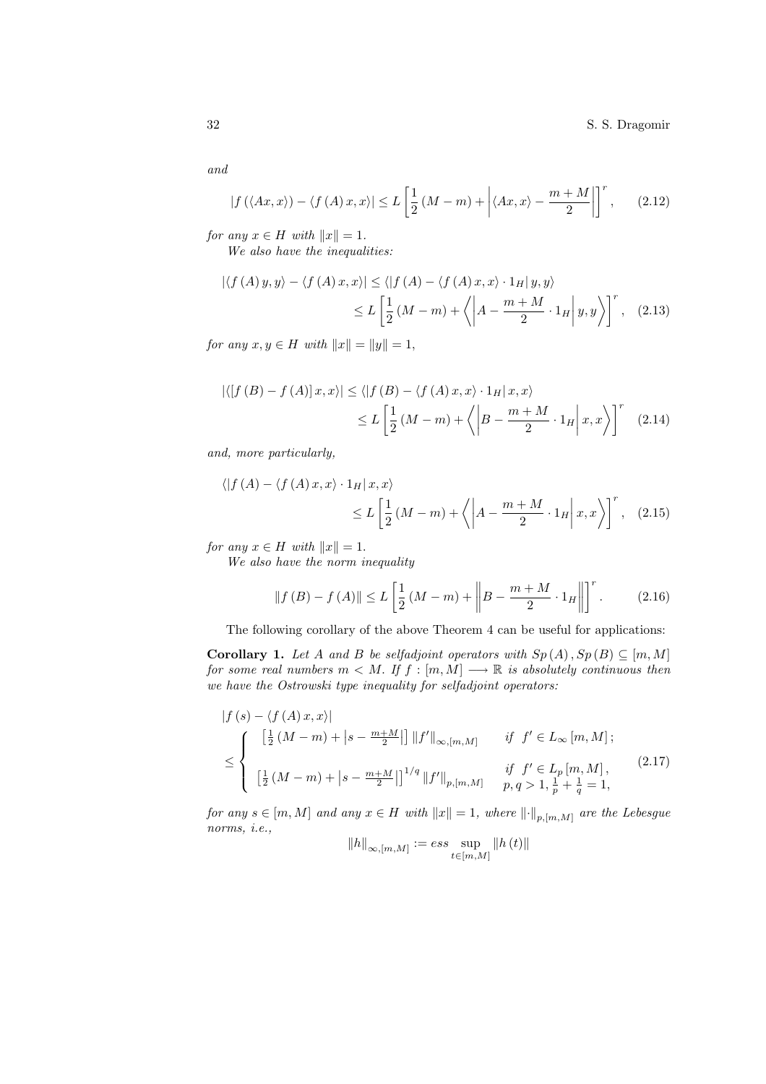32 S. S. Dragomir

and

$$
|f(\langle Ax, x \rangle) - \langle f(A) x, x \rangle| \le L \left[ \frac{1}{2} \left( M - m \right) + \left| \langle Ax, x \rangle - \frac{m + M}{2} \right| \right]^r, \qquad (2.12)
$$

for any  $x \in H$  with  $||x|| = 1$ .

We also have the inequalities:

$$
\left| \langle f(A) y, y \rangle - \langle f(A) x, x \rangle \right| \le \langle \left| f(A) - \langle f(A) x, x \rangle \cdot 1_H | y, y \rangle \right|
$$
  

$$
\le L \left[ \frac{1}{2} (M - m) + \left\langle \left| A - \frac{m + M}{2} \cdot 1_H \right| y, y \right\rangle \right]^r, \quad (2.13)
$$

for any  $x, y \in H$  with  $||x|| = ||y|| = 1$ ,

$$
\left| \langle [f(B) - f(A)]x, x \rangle \right| \le \langle |f(B) - \langle f(A)x, x \rangle \cdot 1_H | x, x \rangle
$$
  

$$
\le L \left[ \frac{1}{2} (M - m) + \langle |B - \frac{m + M}{2} \cdot 1_H | x, x \rangle \right]^r \quad (2.14)
$$

and, more particularly,

$$
\langle |f(A) - \langle f(A)x, x \rangle \cdot 1_H | x, x \rangle
$$
  
 
$$
\leq L \left[ \frac{1}{2} (M - m) + \langle |A - \frac{m + M}{2} \cdot 1_H | x, x \rangle \right]^r, \quad (2.15)
$$

for any  $x \in H$  with  $||x|| = 1$ .

We also have the norm inequality

$$
\|f(B) - f(A)\| \le L\left[\frac{1}{2}(M-m) + \left\|B - \frac{m+M}{2} \cdot 1_H\right\|\right]^r.
$$
 (2.16)

The following corollary of the above Theorem 4 can be useful for applications:

**Corollary 1.** Let A and B be selfadjoint operators with  $Sp(A), Sp(B) \subseteq [m, M]$ for some real numbers  $m < M$ . If  $f : [m, M] \longrightarrow \mathbb{R}$  is absolutely continuous then we have the Ostrowski type inequality for selfadjoint operators:

$$
|f(s) - \langle f(A)x, x \rangle|
$$
  
\n
$$
\leq \begin{cases} \left[ \frac{1}{2} (M-m) + |s - \frac{m+M}{2}| \right] ||f'||_{\infty, [m,M]} & \text{if } f' \in L_{\infty} [m,M]; \\ \left[ \frac{1}{2} (M-m) + |s - \frac{m+M}{2}| \right]^{1/q} ||f'||_{p,[m,M]} & \text{if } f' \in L_p [m,M], \\ \left[ \frac{1}{2} (M-m) + |s - \frac{m+M}{2}| \right]^{1/q} ||f'||_{p,[m,M]} & p, q > 1, \frac{1}{p} + \frac{1}{q} = 1, \end{cases}
$$
\n
$$
(2.17)
$$

for any  $s \in [m, M]$  and any  $x \in H$  with  $||x|| = 1$ , where  $|| \cdot ||_{p,[m,M]}$  are the Lebesgue norms, i.e.,

$$
||h||_{\infty,[m,M]} := ess \sup_{t \in [m,M]} ||h(t)||
$$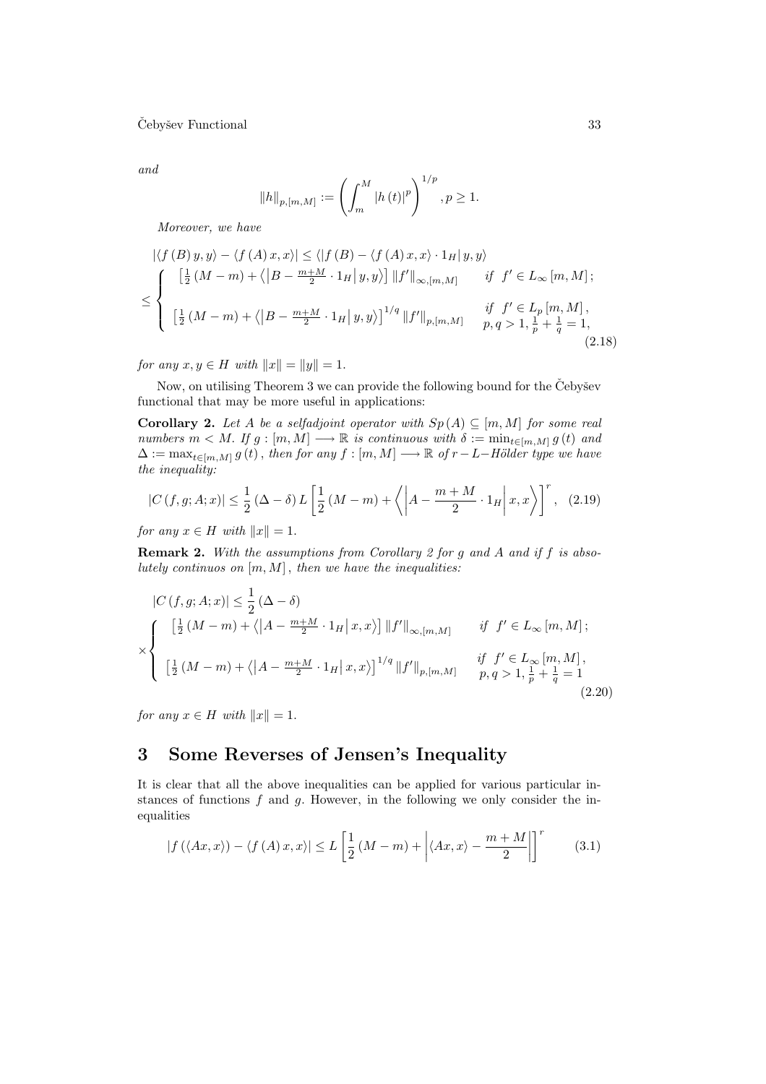and

$$
||h||_{p,[m,M]} := \left(\int_m^M |h(t)|^p\right)^{1/p}, p \ge 1.
$$

Moreover, we have

$$
\left| \langle f(B) y, y \rangle - \langle f(A) x, x \rangle \right| \leq \langle |f(B) - \langle f(A) x, x \rangle \cdot 1_H | y, y \rangle
$$
  

$$
\leq \begin{cases} \left[ \frac{1}{2} (M - m) + \langle |B - \frac{m + M}{2} \cdot 1_H | y, y \rangle \right] ||f'||_{\infty, [m, M]} & \text{if } f' \in L_{\infty} [m, M]; \\ \left[ \frac{1}{2} (M - m) + \langle |B - \frac{m + M}{2} \cdot 1_H | y, y \rangle \right]^{1/q} ||f'||_{p, [m, M]} & \text{if } f' \in L_p [m, M], \\ \left[ \frac{1}{2} (M - m) + \langle |B - \frac{m + M}{2} \cdot 1_H | y, y \rangle \right]^{1/q} ||f'||_{p, [m, M]} & p, q > 1, \frac{1}{p} + \frac{1}{q} = 1, \end{cases} \tag{2.18}
$$

for any  $x, y \in H$  with  $||x|| = ||y|| = 1$ .

Now, on utilising Theorem 3 we can provide the following bound for the  $\check{C}$ ebyšev functional that may be more useful in applications:

**Corollary 2.** Let A be a selfadjoint operator with  $Sp(A) \subseteq [m, M]$  for some real numbers  $m < M$ . If  $g : [m, M] \longrightarrow \mathbb{R}$  is continuous with  $\delta := \min_{t \in [m, M]} g(t)$  and  $\Delta := \max_{t \in [m,M]} g(t)$ , then for any  $f : [m,M] \longrightarrow \mathbb{R}$  of  $r-L-H\ddot{o}lder$  type we have the inequality:

$$
|C(f,g;A;x)| \leq \frac{1}{2} (\Delta - \delta) L \left[ \frac{1}{2} (M-m) + \left\langle \left| A - \frac{m+M}{2} \cdot 1_H \right| x, x \right\rangle \right]^r, (2.19)
$$

for any  $x \in H$  with  $||x|| = 1$ .

Remark 2. With the assumptions from Corollary 2 for g and A and if f is absolutely continuos on  $[m, M]$ , then we have the inequalities:

$$
|C(f,g;A;x)| \leq \frac{1}{2} (\Delta - \delta)
$$
  
\$\times \begin{cases} \left[\frac{1}{2}(M-m) + \langle |A - \frac{m+M}{2} \cdot 1\_H | x, x \rangle \right] ||f'||\_{\infty,[m,M]} & \text{if } f' \in L\_{\infty}[m,M]; \\ \left[\frac{1}{2}(M-m) + \langle |A - \frac{m+M}{2} \cdot 1\_H | x, x \rangle \right]^{1/q} ||f'||\_{p,[m,M]} & \text{if } f' \in L\_{\infty}[m,M], \\ \left[\frac{1}{2}(M-m) + \langle |A - \frac{m+M}{2} \cdot 1\_H | x, x \rangle \right]^{1/q} ||f'||\_{p,[m,M]} & \text{if } f' \in L\_{\infty}[m,M], \end{cases}\$(2.20)

for any  $x \in H$  with  $||x|| = 1$ .

# 3 Some Reverses of Jensen's Inequality

It is clear that all the above inequalities can be applied for various particular instances of functions  $f$  and  $g$ . However, in the following we only consider the inequalities

$$
|f(\langle Ax, x \rangle) - \langle f(A)x, x \rangle| \le L \left[ \frac{1}{2} (M - m) + \left| \langle Ax, x \rangle - \frac{m + M}{2} \right| \right]^r \tag{3.1}
$$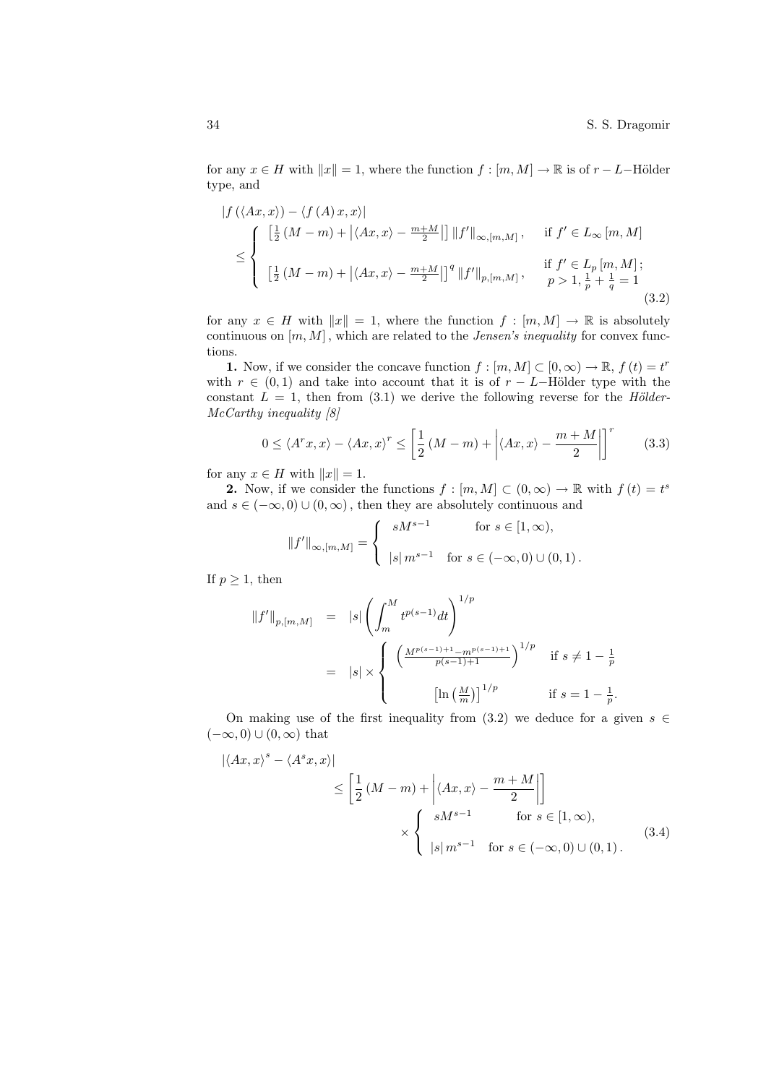for any  $x \in H$  with  $||x|| = 1$ , where the function  $f : [m, M] \to \mathbb{R}$  is of  $r - L$ -Hölder type, and

$$
|f(\langle Ax, x \rangle) - \langle f(A) x, x \rangle|
$$
  
\n
$$
\leq \begin{cases} \left[ \frac{1}{2} (M - m) + |\langle Ax, x \rangle - \frac{m + M}{2} | \right] ||f'||_{\infty, [m, M]}, & \text{if } f' \in L_{\infty} [m, M] \\ \left[ \frac{1}{2} (M - m) + |\langle Ax, x \rangle - \frac{m + M}{2} | \right]^q ||f'||_{p, [m, M]}, & \text{if } f' \in L_p [m, M]; \\ \left[ \frac{1}{2} (M - m) + |\langle Ax, x \rangle - \frac{m + M}{2} | \right]^q ||f'||_{p, [m, M]}, & p > 1, \frac{1}{p} + \frac{1}{q} = 1 \end{cases}
$$
(3.2)

for any  $x \in H$  with  $||x|| = 1$ , where the function  $f : [m, M] \to \mathbb{R}$  is absolutely continuous on  $[m, M]$ , which are related to the *Jensen's inequality* for convex functions.

**1.** Now, if we consider the concave function  $f : [m, M] \subset [0, \infty) \to \mathbb{R}$ ,  $f(t) = t^r$ with  $r \in (0,1)$  and take into account that it is of  $r - L$ -Hölder type with the constant  $L = 1$ , then from (3.1) we derive the following reverse for the Hölder-McCarthy inequality [8]

$$
0 \le \langle A^r x, x \rangle - \langle Ax, x \rangle^r \le \left[ \frac{1}{2} \left( M - m \right) + \left| \langle Ax, x \rangle - \frac{m + M}{2} \right| \right]^r \tag{3.3}
$$

for any  $x \in H$  with  $||x|| = 1$ .

**2.** Now, if we consider the functions  $f : [m, M] \subset (0, \infty) \to \mathbb{R}$  with  $f(t) = t^s$ and  $s \in (-\infty, 0) \cup (0, \infty)$ , then they are absolutely continuous and

$$
||f'||_{\infty,[m,M]} = \begin{cases} sM^{s-1} & \text{for } s \in [1,\infty), \\ |s| m^{s-1} & \text{for } s \in (-\infty,0) \cup (0,1). \end{cases}
$$

If  $p \geq 1$ , then

$$
||f'||_{p,[m,M]} = |s| \left( \int_m^M t^{p(s-1)} dt \right)^{1/p}
$$
  

$$
= |s| \times \begin{cases} \left( \frac{M^{p(s-1)+1} - m^{p(s-1)+1}}{p(s-1)+1} \right)^{1/p} & \text{if } s \neq 1 - \frac{1}{p} \\ \left[ \ln \left( \frac{M}{m} \right) \right]^{1/p} & \text{if } s = 1 - \frac{1}{p}. \end{cases}
$$

On making use of the first inequality from (3.2) we deduce for a given  $s \in \mathbb{R}$  $(-\infty, 0) \cup (0, \infty)$  that

$$
|\langle Ax, x \rangle^s - \langle A^s x, x \rangle|
$$
  
\n
$$
\leq \left[ \frac{1}{2} (M - m) + \left| \langle Ax, x \rangle - \frac{m + M}{2} \right| \right]
$$
  
\n
$$
\times \left\{ \begin{array}{ll} sM^{s-1} & \text{for } s \in [1, \infty), \\ |s| m^{s-1} & \text{for } s \in (-\infty, 0) \cup (0, 1). \end{array} \right.
$$
\n(3.4)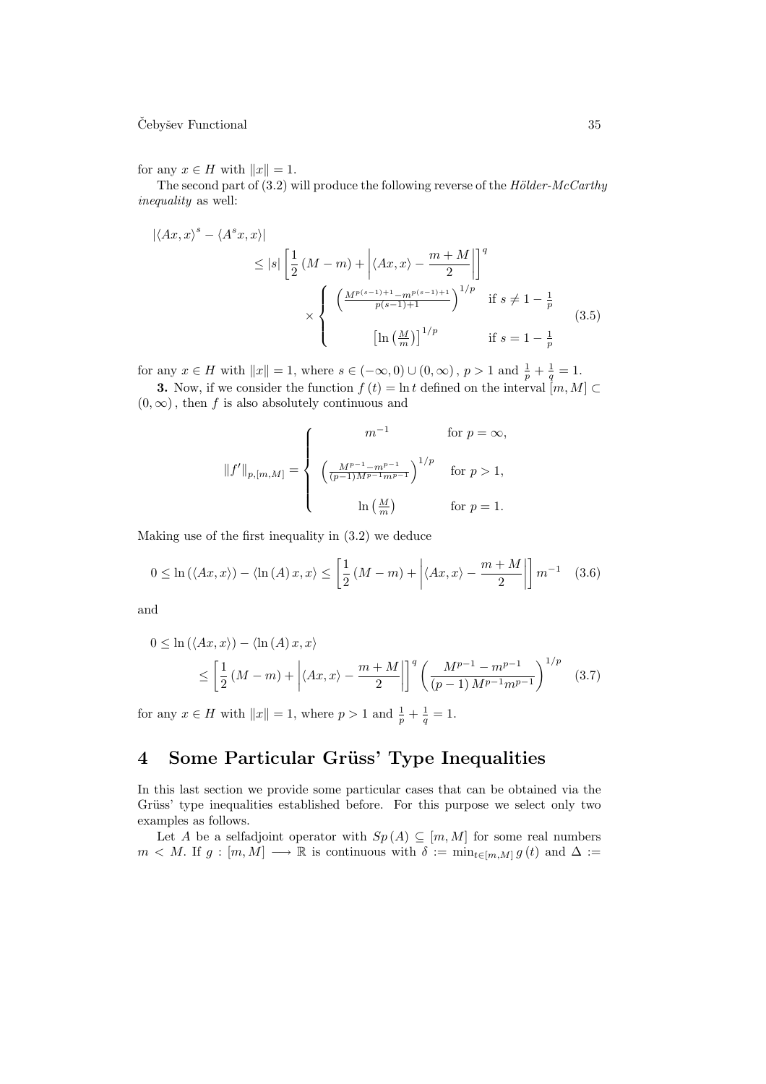## $\check{\mathrm{C}}$ ebyšev Functional  $35$

for any  $x \in H$  with  $||x|| = 1$ .

The second part of  $(3.2)$  will produce the following reverse of the  $Hölder-McCarthy$ inequality as well:

$$
|\langle Ax, x \rangle^s - \langle A^s x, x \rangle|
$$
  
\n
$$
\leq |s| \left[ \frac{1}{2} \left( M - m \right) + \left| \langle Ax, x \rangle - \frac{m + M}{2} \right| \right]^q
$$
  
\n
$$
\times \left\{ \frac{\left( \frac{M^{p(s-1)+1} - m^{p(s-1)+1}}{p(s-1)+1} \right)^{1/p}}{\left[ \ln \left( \frac{M}{m} \right) \right]^{1/p}} \quad \text{if } s \neq 1 - \frac{1}{p} \tag{3.5}
$$

for any  $x \in H$  with  $||x|| = 1$ , where  $s \in (-\infty, 0) \cup (0, \infty)$ ,  $p > 1$  and  $\frac{1}{p} + \frac{1}{q} = 1$ .

**3.** Now, if we consider the function  $f(t) = \ln t$  defined on the interval  $[m, M] \subset$  $(0, \infty)$ , then f is also absolutely continuous and

$$
||f'||_{p,[m,M]} = \begin{cases} \begin{array}{cc} & m^{-1} & \text{for } p = \infty, \\ & \\ \left(\frac{M^{p-1} - m^{p-1}}{(p-1)M^{p-1}m^{p-1}}\right)^{1/p} & \text{for } p > 1, \\ & \\ & \ln\left(\frac{M}{m}\right) & \text{for } p = 1. \end{array} \end{cases}
$$

Making use of the first inequality in (3.2) we deduce

$$
0 \le \ln(\langle Ax, x \rangle) - \langle \ln(A)x, x \rangle \le \left[ \frac{1}{2} \left( M - m \right) + \left| \langle Ax, x \rangle - \frac{m + M}{2} \right| \right] m^{-1} \quad (3.6)
$$

and

$$
0 \leq \ln\left(\langle Ax, x\rangle\right) - \langle \ln\left(A\right)x, x\rangle
$$
  
 
$$
\leq \left[\frac{1}{2}\left(M - m\right) + \left|\langle Ax, x\rangle - \frac{m + M}{2}\right|\right]^q \left(\frac{M^{p-1} - m^{p-1}}{(p-1)M^{p-1}m^{p-1}}\right)^{1/p} \quad (3.7)
$$

for any  $x \in H$  with  $||x|| = 1$ , where  $p > 1$  and  $\frac{1}{p} + \frac{1}{q} = 1$ .

# 4 Some Particular Grüss' Type Inequalities

In this last section we provide some particular cases that can be obtained via the Grüss' type inequalities established before. For this purpose we select only two examples as follows.

Let A be a selfadjoint operator with  $Sp(A) \subseteq [m, M]$  for some real numbers  $m \lt M$ . If  $g : [m, M] \longrightarrow \mathbb{R}$  is continuous with  $\delta := \min_{t \in [m, M]} g(t)$  and  $\Delta :=$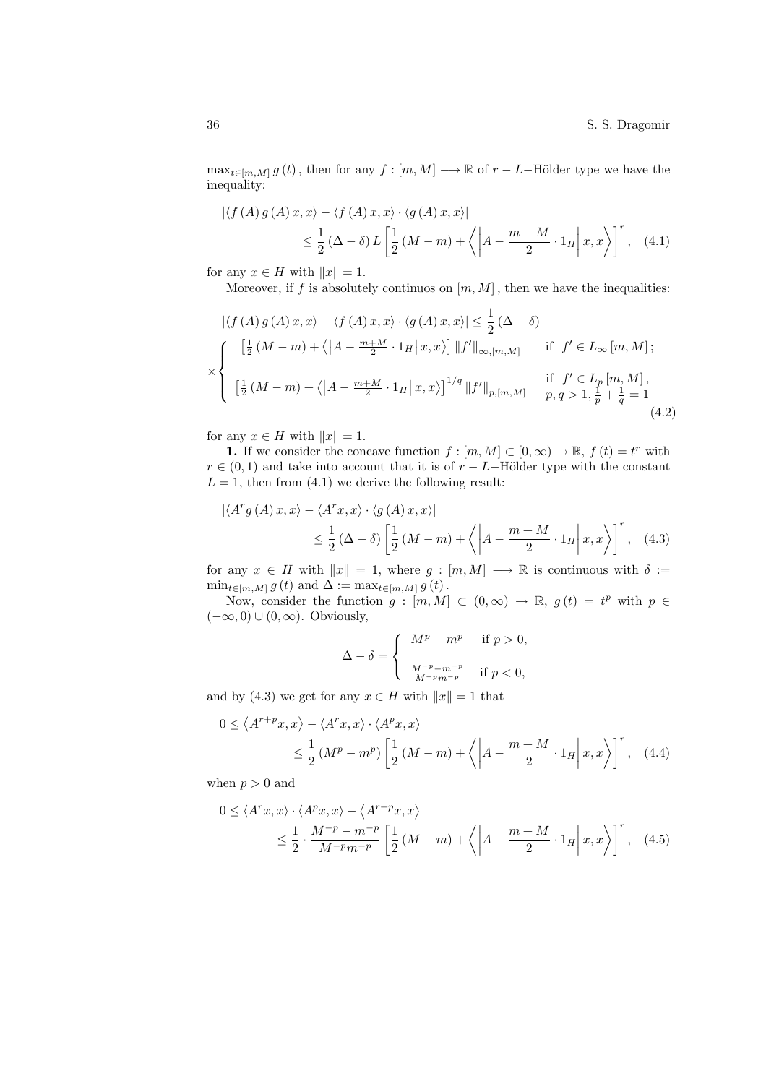$\max_{t \in [m,M]} g(t)$ , then for any  $f : [m,M] \longrightarrow \mathbb{R}$  of  $r - L$ –Hölder type we have the inequality:

$$
\left| \langle f(A) g(A) x, x \rangle - \langle f(A) x, x \rangle \cdot \langle g(A) x, x \rangle \right|
$$
  
 
$$
\leq \frac{1}{2} (\Delta - \delta) L \left[ \frac{1}{2} (M - m) + \left\langle \left| A - \frac{m + M}{2} \cdot 1_H \right| x, x \right\rangle \right]^r, \quad (4.1)
$$

for any  $x \in H$  with  $||x|| = 1$ .

Moreover, if f is absolutely continuos on  $[m, M]$ , then we have the inequalities:

$$
|\langle f(A) g(A) x, x \rangle - \langle f(A) x, x \rangle \cdot \langle g(A) x, x \rangle| \leq \frac{1}{2} (\Delta - \delta)
$$
  

$$
\times \begin{cases} \left[ \frac{1}{2} (M - m) + \langle |A - \frac{m + M}{2} \cdot 1_H | x, x \rangle \right] ||f'||_{\infty, [m, M]} & \text{if } f' \in L_{\infty} [m, M]; \\ \left[ \frac{1}{2} (M - m) + \langle |A - \frac{m + M}{2} \cdot 1_H | x, x \rangle \right]^{1/q} ||f'||_{p, [m, M]} & \text{if } f' \in L_p [m, M], \\ \left[ \frac{1}{2} (M - m) + \langle |A - \frac{m + M}{2} \cdot 1_H | x, x \rangle \right]^{1/q} ||f'||_{p, [m, M]} & p, q > 1, \frac{1}{p} + \frac{1}{q} = 1 \end{cases}
$$
(4.2)

for any  $x \in H$  with  $||x|| = 1$ .

**1.** If we consider the concave function  $f : [m, M] \subset [0, \infty) \to \mathbb{R}$ ,  $f(t) = t^r$  with  $r \in (0, 1)$  and take into account that it is of  $r - L$ –Hölder type with the constant  $L = 1$ , then from (4.1) we derive the following result:

$$
\left| \langle A^r g(A) x, x \rangle - \langle A^r x, x \rangle \cdot \langle g(A) x, x \rangle \right|
$$
  
 
$$
\leq \frac{1}{2} (\Delta - \delta) \left[ \frac{1}{2} (M - m) + \left\langle \left| A - \frac{m + M}{2} \cdot 1_H \right| x, x \right\rangle \right]^r, \quad (4.3)
$$

for any  $x \in H$  with  $||x|| = 1$ , where  $g : [m, M] \longrightarrow \mathbb{R}$  is continuous with  $\delta :=$  $\min_{t \in [m,M]} g(t)$  and  $\Delta := \max_{t \in [m,M]} g(t)$ .

Now, consider the function  $g : [m, M] \subset (0, \infty) \to \mathbb{R}$ ,  $g(t) = t^p$  with  $p \in$  $(-\infty, 0) \cup (0, \infty)$ . Obviously,

$$
\Delta - \delta = \left\{ \begin{array}{cl} M^p - m^p & \text{ if } p > 0, \\ \\ \frac{M^{-p} - m^{-p}}{M^{-p} m^{-p}} & \text{ if } p < 0, \end{array} \right.
$$

and by (4.3) we get for any  $x \in H$  with  $||x|| = 1$  that

$$
0 \le \langle A^{r+p}x, x \rangle - \langle A^r x, x \rangle \cdot \langle A^p x, x \rangle
$$
  

$$
\le \frac{1}{2} (M^p - m^p) \left[ \frac{1}{2} (M - m) + \langle \left| A - \frac{m + M}{2} \cdot 1_H \right| x, x \rangle \right]^r, \quad (4.4)
$$

when  $p > 0$  and

$$
0 \le \langle A^r x, x \rangle \cdot \langle A^p x, x \rangle - \langle A^{r+p} x, x \rangle
$$
  

$$
\le \frac{1}{2} \cdot \frac{M^{-p} - m^{-p}}{M^{-p} m^{-p}} \left[ \frac{1}{2} (M-m) + \left\langle \left| A - \frac{m+M}{2} \cdot 1_H \right| x, x \right\rangle \right]^r, \quad (4.5)
$$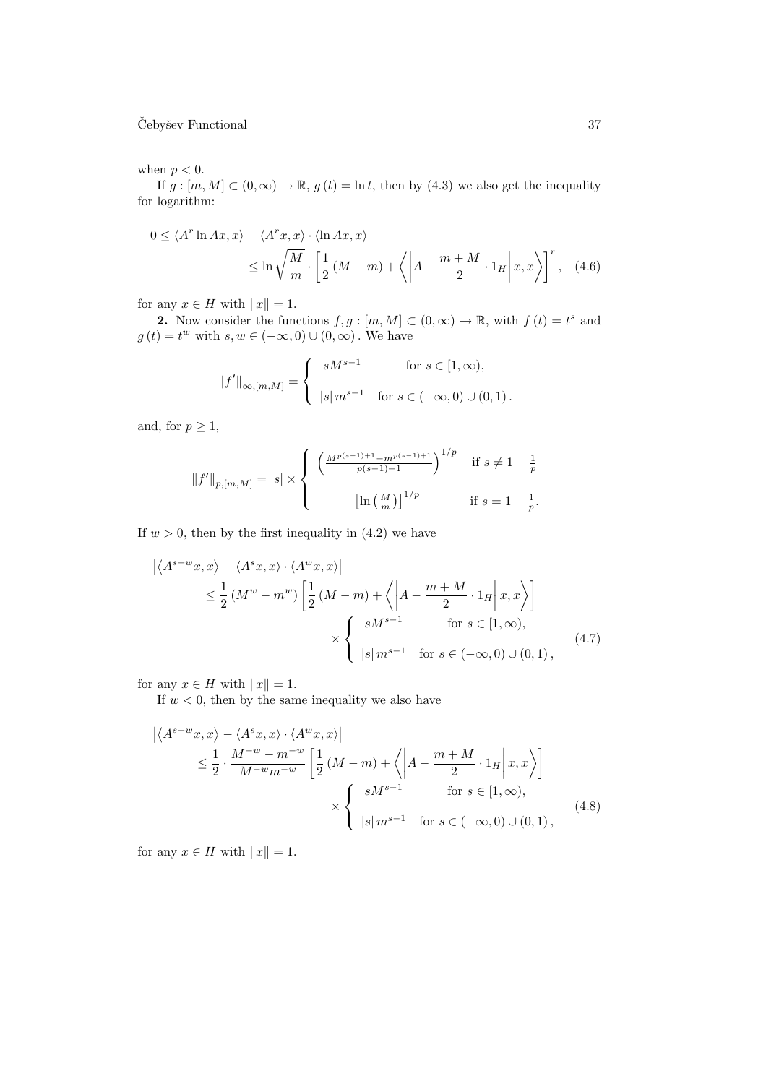## $\check{\mathrm{C}}$ ebyšev Functional  $37$

### when  $p < 0$ .

If  $g : [m, M] \subset (0, \infty) \to \mathbb{R}$ ,  $g(t) = \ln t$ , then by (4.3) we also get the inequality for logarithm:

$$
0 \le \langle A^r \ln Ax, x \rangle - \langle A^r x, x \rangle \cdot \langle \ln Ax, x \rangle
$$
  
 
$$
\le \ln \sqrt{\frac{M}{m}} \cdot \left[ \frac{1}{2} (M - m) + \langle \left| A - \frac{m + M}{2} \cdot 1_H \right| x, x \rangle \right]^r, \quad (4.6)
$$

for any  $x \in H$  with  $||x|| = 1$ .

2. Now consider the functions  $f, g : [m, M] \subset (0, \infty) \to \mathbb{R}$ , with  $f(t) = t^s$  and  $g(t) = t^w$  with  $s, w \in (-\infty, 0) \cup (0, \infty)$ . We have

$$
||f'||_{\infty,[m,M]} = \begin{cases} sM^{s-1} & \text{for } s \in [1,\infty), \\ |s|m^{s-1} & \text{for } s \in (-\infty,0) \cup (0,1). \end{cases}
$$

and, for  $p \geq 1$ ,

$$
||f'||_{p,[m,M]} = |s| \times \left\{ \begin{array}{cl} \left(\frac{M^{p(s-1)+1} - m^{p(s-1)+1}}{p(s-1)+1}\right)^{1/p} & \text{if } s \neq 1 - \frac{1}{p} \\ & \\ \left[\ln\left(\frac{M}{m}\right)\right]^{1/p} & \text{if } s = 1 - \frac{1}{p}. \end{array} \right.
$$

If  $w > 0$ , then by the first inequality in  $(4.2)$  we have

$$
\left| \langle A^{s+w}x, x \rangle - \langle A^s x, x \rangle \cdot \langle A^w x, x \rangle \right|
$$
  
\n
$$
\leq \frac{1}{2} \left( M^w - m^w \right) \left[ \frac{1}{2} \left( M - m \right) + \left\langle \left| A - \frac{m+M}{2} \cdot 1_H \right| x, x \right\rangle \right]
$$
  
\n
$$
\times \left\{ \begin{array}{ll} sM^{s-1} & \text{for } s \in [1, \infty), \\ |s| \, m^{s-1} & \text{for } s \in (-\infty, 0) \cup (0, 1), \end{array} \right. \tag{4.7}
$$

for any  $x \in H$  with  $||x|| = 1$ .

If  $w < 0$ , then by the same inequality we also have

$$
\left| \langle A^{s+w}x, x \rangle - \langle A^s x, x \rangle \cdot \langle A^w x, x \rangle \right|
$$
  
\n
$$
\leq \frac{1}{2} \cdot \frac{M^{-w} - m^{-w}}{M^{-w} m^{-w}} \left[ \frac{1}{2} (M - m) + \langle \left| A - \frac{m + M}{2} \cdot 1_H \right| x, x \rangle \right]
$$
  
\n
$$
\times \left\{ \begin{array}{ll} sM^{s-1} & \text{for } s \in [1, \infty), \\ |s| m^{s-1} & \text{for } s \in (-\infty, 0) \cup (0, 1), \end{array} \right.
$$
\n(4.8)

for any  $x \in H$  with  $||x|| = 1$ .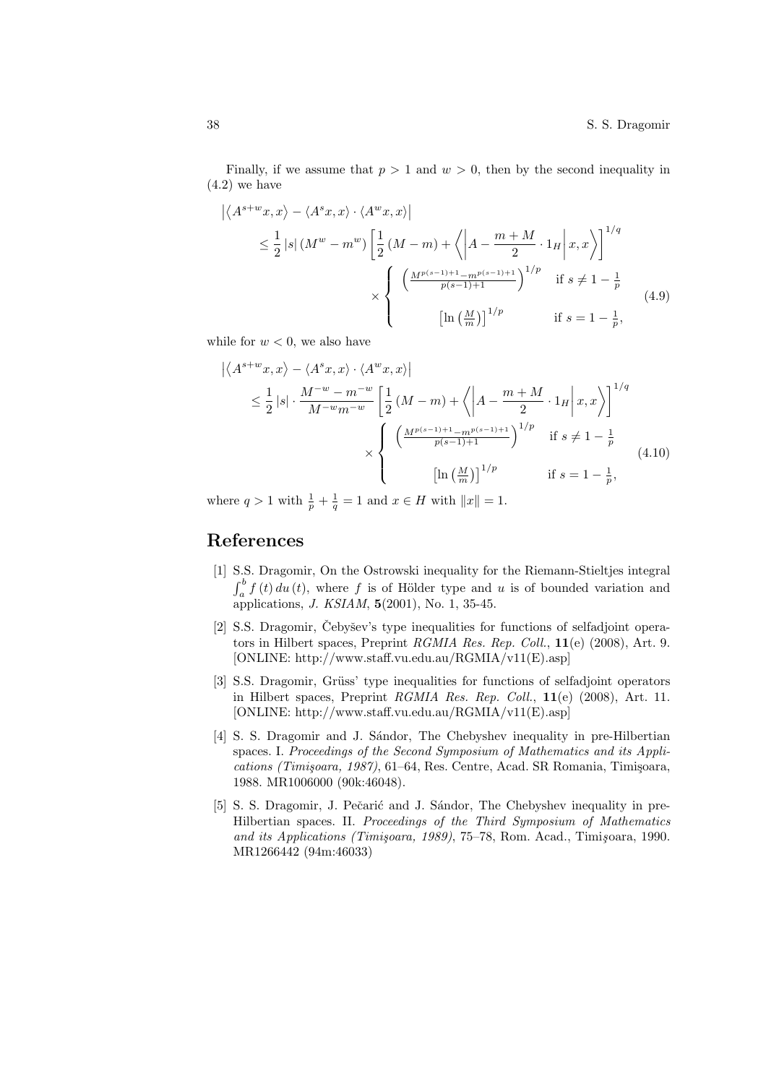Finally, if we assume that  $p > 1$  and  $w > 0$ , then by the second inequality in  $(4.2)$  we have

$$
\left| \langle A^{s+w}x, x \rangle - \langle A^s x, x \rangle \cdot \langle A^w x, x \rangle \right|
$$
  
\n
$$
\leq \frac{1}{2} |s| \left( M^w - m^w \right) \left[ \frac{1}{2} \left( M - m \right) + \left\langle \left| A - \frac{m+M}{2} \cdot 1_H \right| x, x \right\rangle \right]^{1/q}
$$
  
\n
$$
\times \left\{ \frac{\left( \frac{M^{p(s-1)+1} - m^{p(s-1)+1}}{p(s-1)+1} \right)^{1/p}}{\left[ \ln \left( \frac{M}{m} \right) \right]^{1/p}} \quad \text{if } s \neq 1 - \frac{1}{p} \right\}
$$
(4.9)

while for  $w < 0$ , we also have

$$
\left| \langle A^{s+w}x, x \rangle - \langle A^s x, x \rangle \cdot \langle A^w x, x \rangle \right|
$$
  
\n
$$
\leq \frac{1}{2} |s| \cdot \frac{M^{-w} - m^{-w}}{M^{-w} m^{-w}} \left[ \frac{1}{2} (M - m) + \langle \left| A - \frac{m + M}{2} \cdot 1_H \right| x, x \rangle \right]^{1/q}
$$
  
\n
$$
\times \left\{ \frac{\left( \frac{M^{p(s-1)+1} - m^{p(s-1)+1}}{p(s-1)+1} \right)^{1/p}}{\left[ \ln \left( \frac{M}{m} \right) \right]^{1/p}} \quad \text{if } s \neq 1 - \frac{1}{p}, \right\}
$$
\n(4.10)

where  $q > 1$  with  $\frac{1}{p} + \frac{1}{q} = 1$  and  $x \in H$  with  $||x|| = 1$ .

## References

- [1] S.S. Dragomir, On the Ostrowski inequality for the Riemann-Stieltjes integral  $\frac{b}{a}$  $a_{a}^{o} f(t) du(t)$ , where f is of Hölder type and u is of bounded variation and applications, J. KSIAM, 5(2001), No. 1, 35-45.
- [2] S.S. Dragomir, Čebyšev's type inequalities for functions of selfadjoint operators in Hilbert spaces, Preprint RGMIA Res. Rep. Coll., 11(e) (2008), Art. 9. [ONLINE: http://www.staff.vu.edu.au/RGMIA/v11(E).asp]
- [3] S.S. Dragomir, Grüss' type inequalities for functions of selfadjoint operators in Hilbert spaces, Preprint RGMIA Res. Rep. Coll., 11(e) (2008), Art. 11. [ONLINE: http://www.staff.vu.edu.au/RGMIA/v11(E).asp]
- [4] S. S. Dragomir and J. S´andor, The Chebyshev inequality in pre-Hilbertian spaces. I. Proceedings of the Second Symposium of Mathematics and its Applications (Timişoara, 1987), 61–64, Res. Centre, Acad. SR Romania, Timişoara, 1988. MR1006000 (90k:46048).
- [5] S. S. Dragomir, J. Pečarić and J. Sándor, The Chebyshev inequality in pre-Hilbertian spaces. II. Proceedings of the Third Symposium of Mathematics and its Applications (Timişoara, 1989), 75-78, Rom. Acad., Timişoara, 1990. MR1266442 (94m:46033)